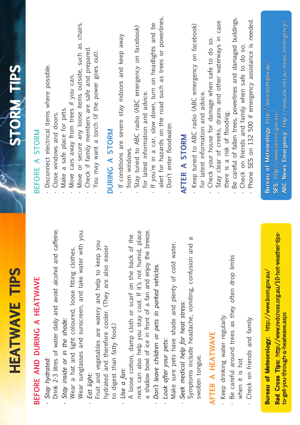| HEATWAVE TIPS                                                                                                        | <b>I NAOLS</b>                                                                                                   |
|----------------------------------------------------------------------------------------------------------------------|------------------------------------------------------------------------------------------------------------------|
| BEFORE AND DURING A HEATWAVE                                                                                         | BEFORE A STORM                                                                                                   |
| Drink 2-3 litres of water daily and avoid alcohol and caffeine.<br>Stay hydrated:                                    | Disconnect electrical items where possible.<br>Close windows and doors.                                          |
| Stay inside or in the shade:                                                                                         | Make a safe place for pets.                                                                                      |
| Wear a hat and light coloured, loose fitting clothes.                                                                | Move cars away from trees if you can.                                                                            |
| Wear sunglasses and sunscreen, and take water with you.<br>Eat light:                                                | Move or secure any loose items outside, such as chairs.<br>Check if family members are safe and prepared.        |
| Fruit and vegetables are watery and help to keep you                                                                 | You may want a torch (if the power goes out).                                                                    |
| hydrated and therefore cooler. (They are also easier<br>to digest than fatty food.)                                  | DURING A STORM                                                                                                   |
| Use a fan:                                                                                                           | If conditions are severe stay indoors and keep away                                                              |
| neck can also help you stay cool. If it's not humid, place<br>A loose cotton, damp cloth or scarf on the back of the | Stay tuned to ABC radio (ABC emergency on facebook)<br>from windows.                                             |
| a shallow bowl of ice in front of a fan and enjoy the breeze.<br>Don't leave children or pets in parked vehicles.    | If you're in a car, slow down, turn on headlights and be<br>for latest information and advice.                   |
| Make sure pets have shade and plenty of cold water.<br>Look after your pets:                                         | alert for hazards on the road such as trees or powerlines.<br>Don't enter floodwater.                            |
| Seek medical help for heat stress:                                                                                   | AFTER A STORM                                                                                                    |
| ß<br>Symptoms include headache, vomiting, confusion and<br>swollen tongue.                                           | Keep tuned to ABC radio (ABC emergency on facebook)<br>for latest information and advice.                        |
| AFTER A HEATWAVE                                                                                                     | Check your house for damage when safe to do so.                                                                  |
| Keep drinking water regularly                                                                                        | case<br>Stay clear of creeks, drains and other waterways in<br>there is a risk of flooding.                      |
| as they often drop limbs<br>Be careful around trees<br>when it is hot                                                | Be careful of fallen trees, powerlines and damaged buildings.<br>Check on friends and family when safe to do so. |
| Check on friends and family                                                                                          | Phone SES on 132 500 if emergency assistance is needed.                                                          |
| Bureau of Meteorology: http://www.bom.gov.au/                                                                        | Bureau of Meteorology: http://www.bom.gov.au/                                                                    |
| Red Cross Tips: http://www.redcross.org.au/10-hot-weather-tips-<br>to-get-you-through-a-heatwave.aspx                | ABC News Emergency: http://www.abc.net.au/news/emergency/<br>SES: http://www.ses.vic.gov.au,                     |
|                                                                                                                      |                                                                                                                  |